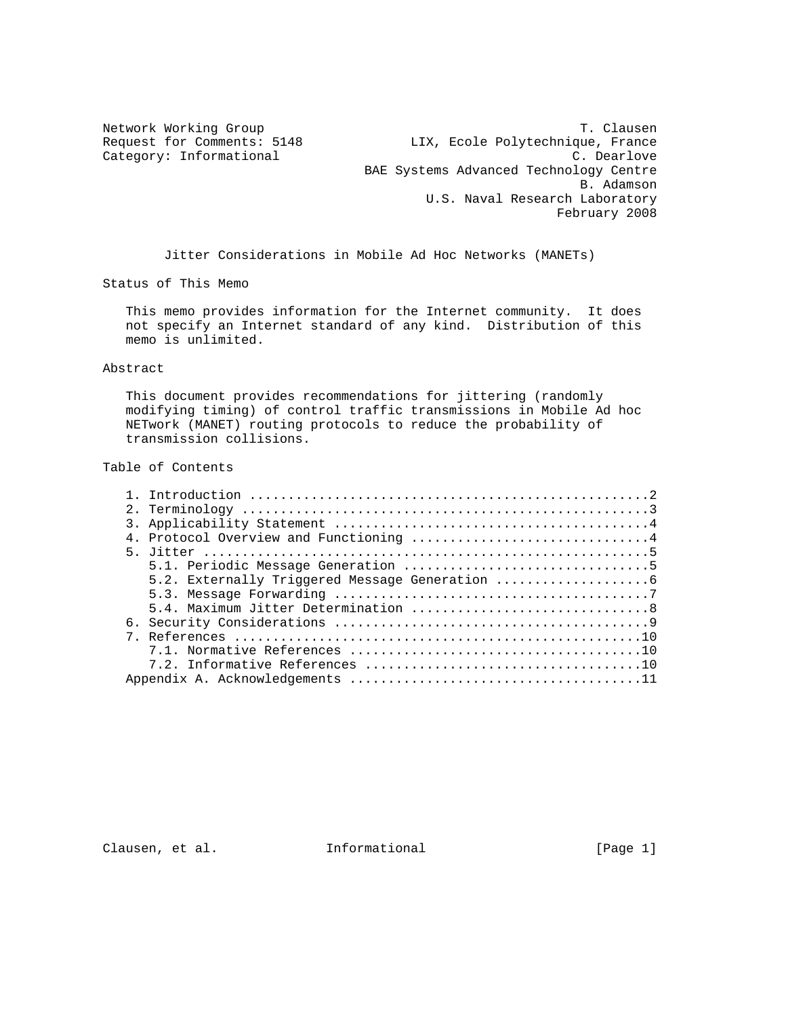Category: Informational

Network Working Group<br>Request for Comments: 5148 T. X. Ecole Polytechnique, France Request for Comments: 5148 LIX, Ecole Polytechnique, France<br>Category: Informational C. Dearlove BAE Systems Advanced Technology Centre B. Adamson U.S. Naval Research Laboratory February 2008

Jitter Considerations in Mobile Ad Hoc Networks (MANETs)

Status of This Memo

 This memo provides information for the Internet community. It does not specify an Internet standard of any kind. Distribution of this memo is unlimited.

## Abstract

 This document provides recommendations for jittering (randomly modifying timing) of control traffic transmissions in Mobile Ad hoc NETwork (MANET) routing protocols to reduce the probability of transmission collisions.

Table of Contents

Clausen, et al. 1nformational 1999 [Page 1]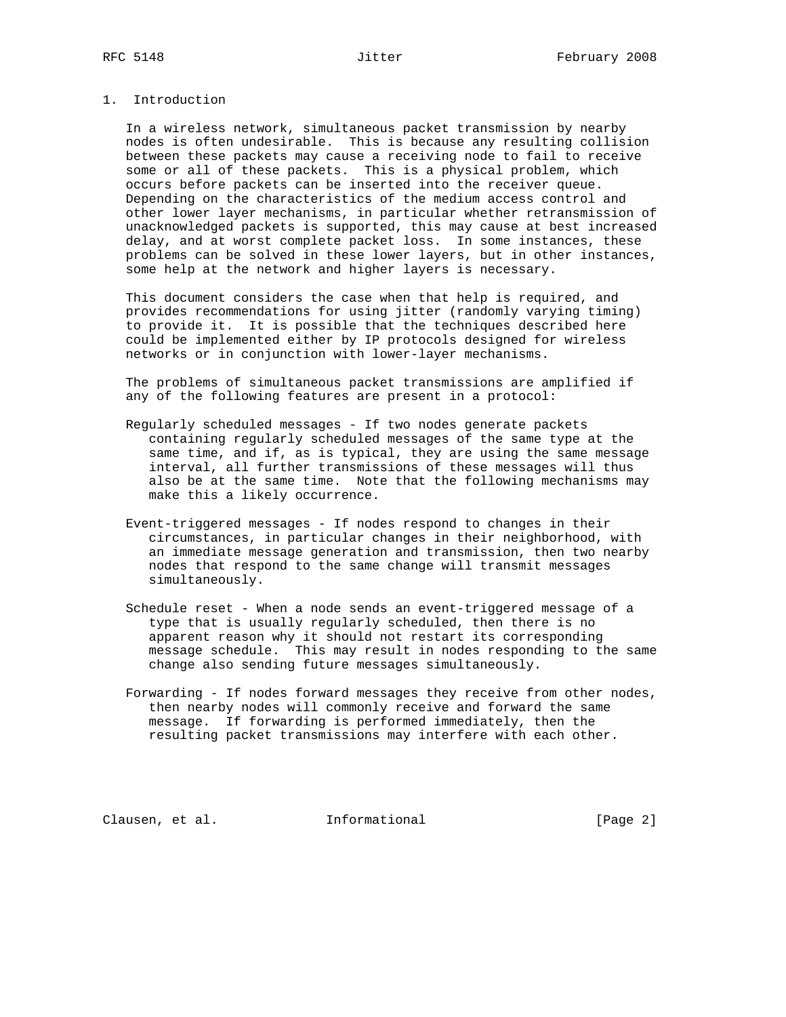# 1. Introduction

 In a wireless network, simultaneous packet transmission by nearby nodes is often undesirable. This is because any resulting collision between these packets may cause a receiving node to fail to receive some or all of these packets. This is a physical problem, which occurs before packets can be inserted into the receiver queue. Depending on the characteristics of the medium access control and other lower layer mechanisms, in particular whether retransmission of unacknowledged packets is supported, this may cause at best increased delay, and at worst complete packet loss. In some instances, these problems can be solved in these lower layers, but in other instances, some help at the network and higher layers is necessary.

 This document considers the case when that help is required, and provides recommendations for using jitter (randomly varying timing) to provide it. It is possible that the techniques described here could be implemented either by IP protocols designed for wireless networks or in conjunction with lower-layer mechanisms.

 The problems of simultaneous packet transmissions are amplified if any of the following features are present in a protocol:

- Regularly scheduled messages If two nodes generate packets containing regularly scheduled messages of the same type at the same time, and if, as is typical, they are using the same message interval, all further transmissions of these messages will thus also be at the same time. Note that the following mechanisms may make this a likely occurrence.
- Event-triggered messages If nodes respond to changes in their circumstances, in particular changes in their neighborhood, with an immediate message generation and transmission, then two nearby nodes that respond to the same change will transmit messages simultaneously.
- Schedule reset When a node sends an event-triggered message of a type that is usually regularly scheduled, then there is no apparent reason why it should not restart its corresponding message schedule. This may result in nodes responding to the same change also sending future messages simultaneously.
- Forwarding If nodes forward messages they receive from other nodes, then nearby nodes will commonly receive and forward the same message. If forwarding is performed immediately, then the resulting packet transmissions may interfere with each other.

Clausen, et al. **Informational** [Page 2]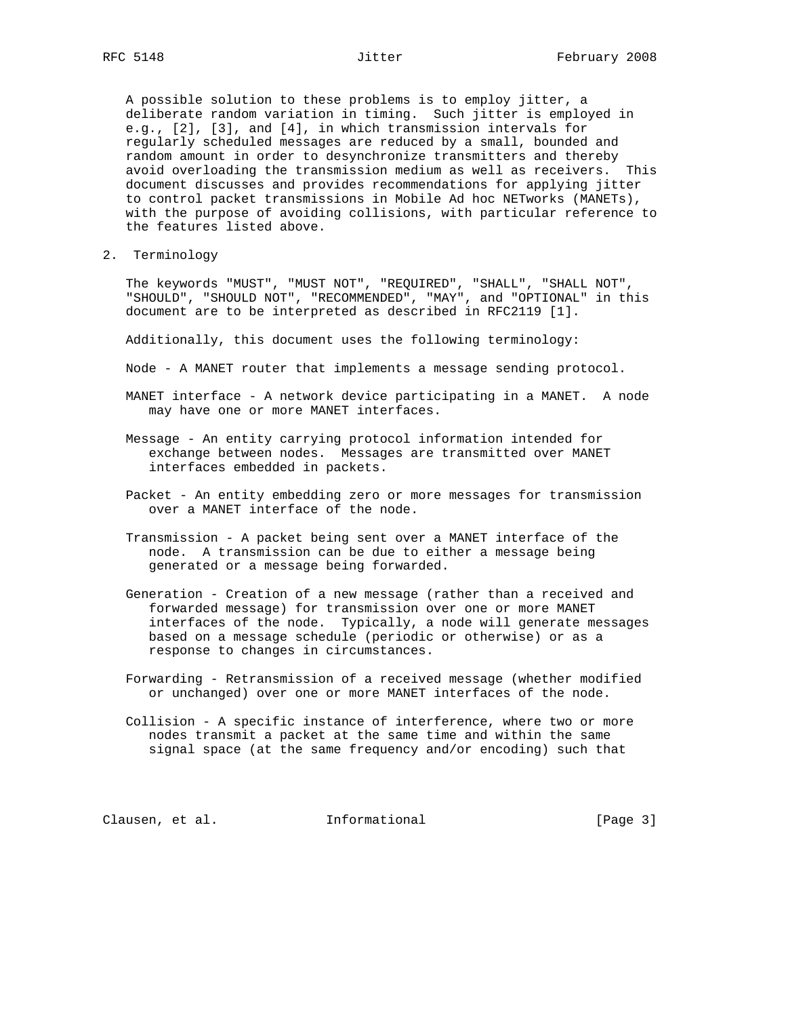A possible solution to these problems is to employ jitter, a deliberate random variation in timing. Such jitter is employed in e.g., [2], [3], and [4], in which transmission intervals for regularly scheduled messages are reduced by a small, bounded and random amount in order to desynchronize transmitters and thereby avoid overloading the transmission medium as well as receivers. This document discusses and provides recommendations for applying jitter to control packet transmissions in Mobile Ad hoc NETworks (MANETs), with the purpose of avoiding collisions, with particular reference to the features listed above.

2. Terminology

 The keywords "MUST", "MUST NOT", "REQUIRED", "SHALL", "SHALL NOT", "SHOULD", "SHOULD NOT", "RECOMMENDED", "MAY", and "OPTIONAL" in this document are to be interpreted as described in RFC2119 [1].

Additionally, this document uses the following terminology:

Node - A MANET router that implements a message sending protocol.

- MANET interface A network device participating in a MANET. A node may have one or more MANET interfaces.
- Message An entity carrying protocol information intended for exchange between nodes. Messages are transmitted over MANET interfaces embedded in packets.
- Packet An entity embedding zero or more messages for transmission over a MANET interface of the node.
- Transmission A packet being sent over a MANET interface of the node. A transmission can be due to either a message being generated or a message being forwarded.
- Generation Creation of a new message (rather than a received and forwarded message) for transmission over one or more MANET interfaces of the node. Typically, a node will generate messages based on a message schedule (periodic or otherwise) or as a response to changes in circumstances.
- Forwarding Retransmission of a received message (whether modified or unchanged) over one or more MANET interfaces of the node.
- Collision A specific instance of interference, where two or more nodes transmit a packet at the same time and within the same signal space (at the same frequency and/or encoding) such that

Clausen, et al. **Informational** [Page 3]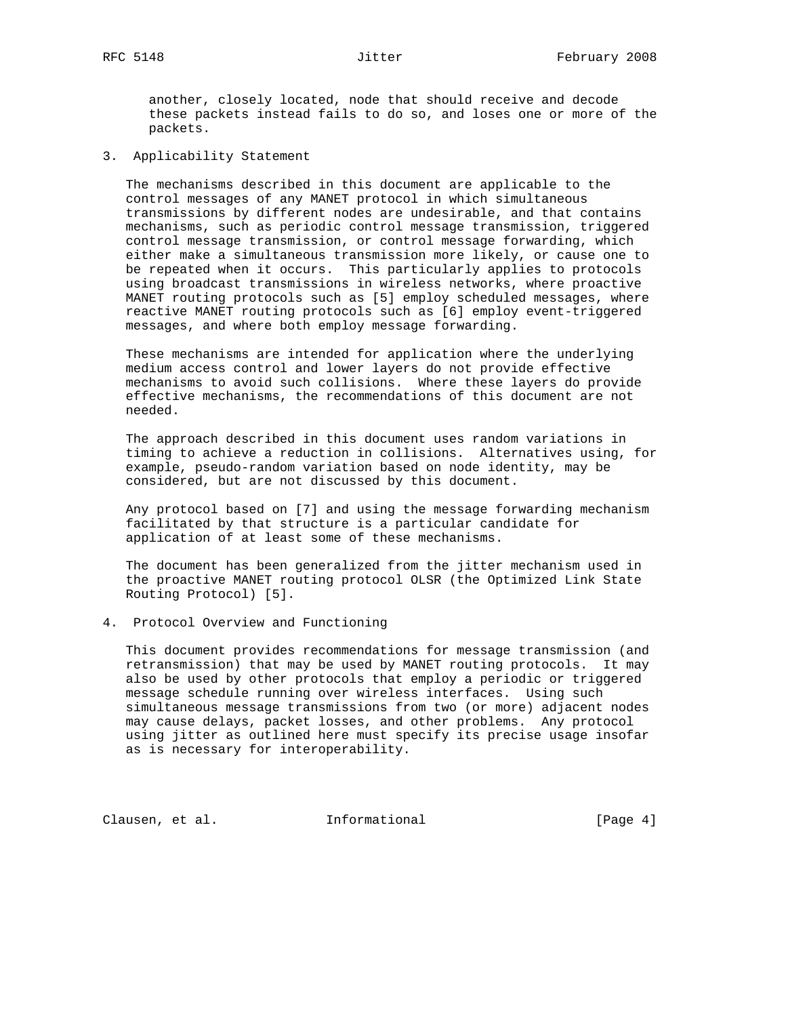another, closely located, node that should receive and decode these packets instead fails to do so, and loses one or more of the packets.

3. Applicability Statement

 The mechanisms described in this document are applicable to the control messages of any MANET protocol in which simultaneous transmissions by different nodes are undesirable, and that contains mechanisms, such as periodic control message transmission, triggered control message transmission, or control message forwarding, which either make a simultaneous transmission more likely, or cause one to be repeated when it occurs. This particularly applies to protocols using broadcast transmissions in wireless networks, where proactive MANET routing protocols such as [5] employ scheduled messages, where reactive MANET routing protocols such as [6] employ event-triggered messages, and where both employ message forwarding.

 These mechanisms are intended for application where the underlying medium access control and lower layers do not provide effective mechanisms to avoid such collisions. Where these layers do provide effective mechanisms, the recommendations of this document are not needed.

 The approach described in this document uses random variations in timing to achieve a reduction in collisions. Alternatives using, for example, pseudo-random variation based on node identity, may be considered, but are not discussed by this document.

 Any protocol based on [7] and using the message forwarding mechanism facilitated by that structure is a particular candidate for application of at least some of these mechanisms.

 The document has been generalized from the jitter mechanism used in the proactive MANET routing protocol OLSR (the Optimized Link State Routing Protocol) [5].

4. Protocol Overview and Functioning

 This document provides recommendations for message transmission (and retransmission) that may be used by MANET routing protocols. It may also be used by other protocols that employ a periodic or triggered message schedule running over wireless interfaces. Using such simultaneous message transmissions from two (or more) adjacent nodes may cause delays, packet losses, and other problems. Any protocol using jitter as outlined here must specify its precise usage insofar as is necessary for interoperability.

Clausen, et al. **Informational** [Page 4]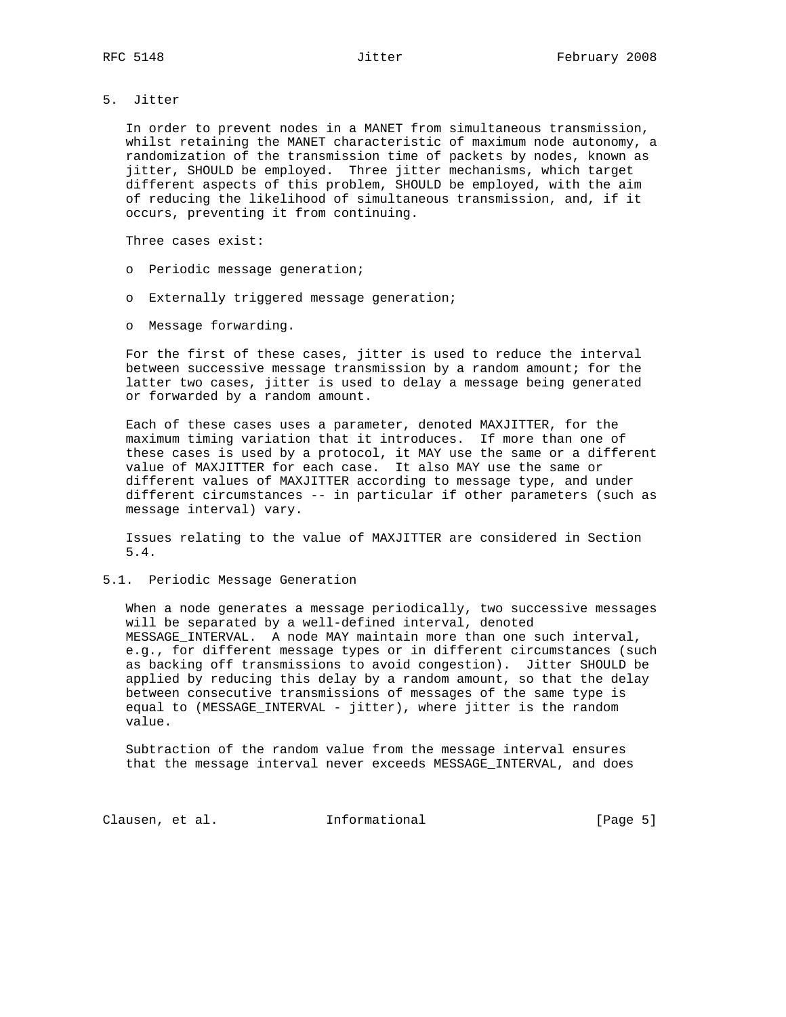5. Jitter

 In order to prevent nodes in a MANET from simultaneous transmission, whilst retaining the MANET characteristic of maximum node autonomy, a randomization of the transmission time of packets by nodes, known as jitter, SHOULD be employed. Three jitter mechanisms, which target different aspects of this problem, SHOULD be employed, with the aim of reducing the likelihood of simultaneous transmission, and, if it occurs, preventing it from continuing.

Three cases exist:

- o Periodic message generation;
- o Externally triggered message generation;
- o Message forwarding.

 For the first of these cases, jitter is used to reduce the interval between successive message transmission by a random amount; for the latter two cases, jitter is used to delay a message being generated or forwarded by a random amount.

 Each of these cases uses a parameter, denoted MAXJITTER, for the maximum timing variation that it introduces. If more than one of these cases is used by a protocol, it MAY use the same or a different value of MAXJITTER for each case. It also MAY use the same or different values of MAXJITTER according to message type, and under different circumstances -- in particular if other parameters (such as message interval) vary.

 Issues relating to the value of MAXJITTER are considered in Section 5.4.

5.1. Periodic Message Generation

 When a node generates a message periodically, two successive messages will be separated by a well-defined interval, denoted MESSAGE\_INTERVAL. A node MAY maintain more than one such interval, e.g., for different message types or in different circumstances (such as backing off transmissions to avoid congestion). Jitter SHOULD be applied by reducing this delay by a random amount, so that the delay between consecutive transmissions of messages of the same type is equal to (MESSAGE\_INTERVAL - jitter), where jitter is the random value.

 Subtraction of the random value from the message interval ensures that the message interval never exceeds MESSAGE\_INTERVAL, and does

Clausen, et al. 1nformational 1999 [Page 5]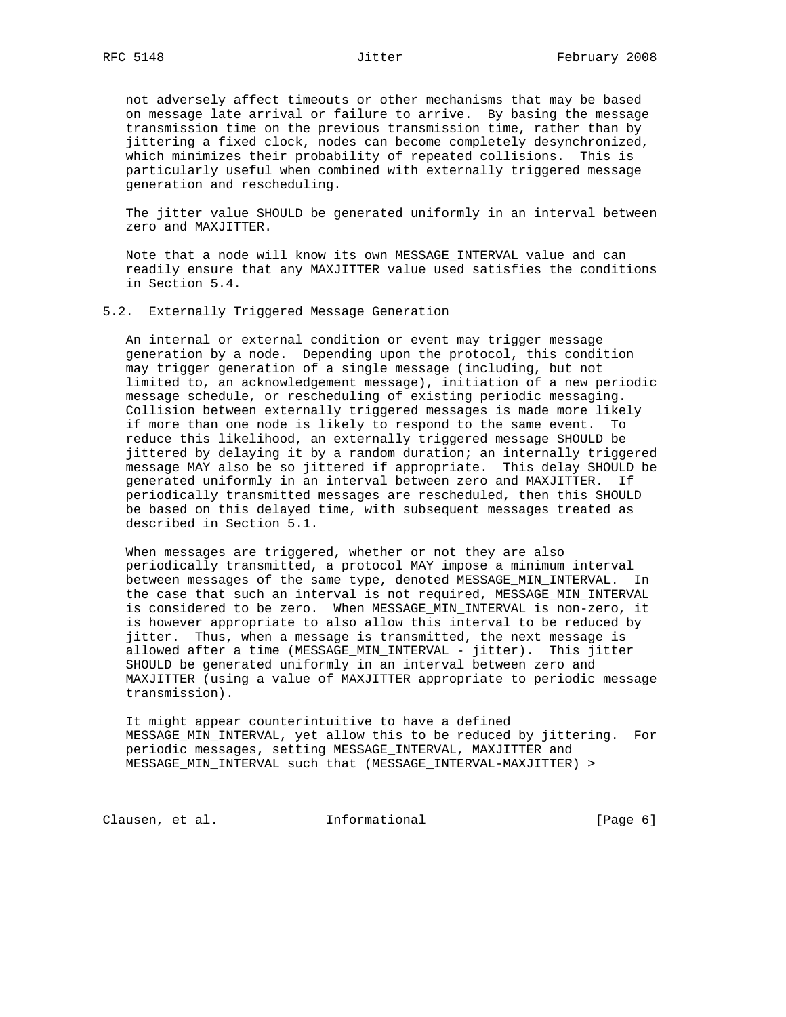not adversely affect timeouts or other mechanisms that may be based on message late arrival or failure to arrive. By basing the message transmission time on the previous transmission time, rather than by jittering a fixed clock, nodes can become completely desynchronized, which minimizes their probability of repeated collisions. This is particularly useful when combined with externally triggered message generation and rescheduling.

 The jitter value SHOULD be generated uniformly in an interval between zero and MAXJITTER.

 Note that a node will know its own MESSAGE\_INTERVAL value and can readily ensure that any MAXJITTER value used satisfies the conditions in Section 5.4.

## 5.2. Externally Triggered Message Generation

 An internal or external condition or event may trigger message generation by a node. Depending upon the protocol, this condition may trigger generation of a single message (including, but not limited to, an acknowledgement message), initiation of a new periodic message schedule, or rescheduling of existing periodic messaging. Collision between externally triggered messages is made more likely if more than one node is likely to respond to the same event. To reduce this likelihood, an externally triggered message SHOULD be jittered by delaying it by a random duration; an internally triggered message MAY also be so jittered if appropriate. This delay SHOULD be generated uniformly in an interval between zero and MAXJITTER. If periodically transmitted messages are rescheduled, then this SHOULD be based on this delayed time, with subsequent messages treated as described in Section 5.1.

 When messages are triggered, whether or not they are also periodically transmitted, a protocol MAY impose a minimum interval between messages of the same type, denoted MESSAGE\_MIN\_INTERVAL. In the case that such an interval is not required, MESSAGE\_MIN\_INTERVAL is considered to be zero. When MESSAGE MIN INTERVAL is non-zero, it is however appropriate to also allow this interval to be reduced by jitter. Thus, when a message is transmitted, the next message is allowed after a time (MESSAGE\_MIN\_INTERVAL - jitter). This jitter SHOULD be generated uniformly in an interval between zero and MAXJITTER (using a value of MAXJITTER appropriate to periodic message transmission).

 It might appear counterintuitive to have a defined MESSAGE\_MIN\_INTERVAL, yet allow this to be reduced by jittering. For periodic messages, setting MESSAGE\_INTERVAL, MAXJITTER and MESSAGE\_MIN\_INTERVAL such that (MESSAGE\_INTERVAL-MAXJITTER) >

Clausen, et al. 1nformational (Page 6)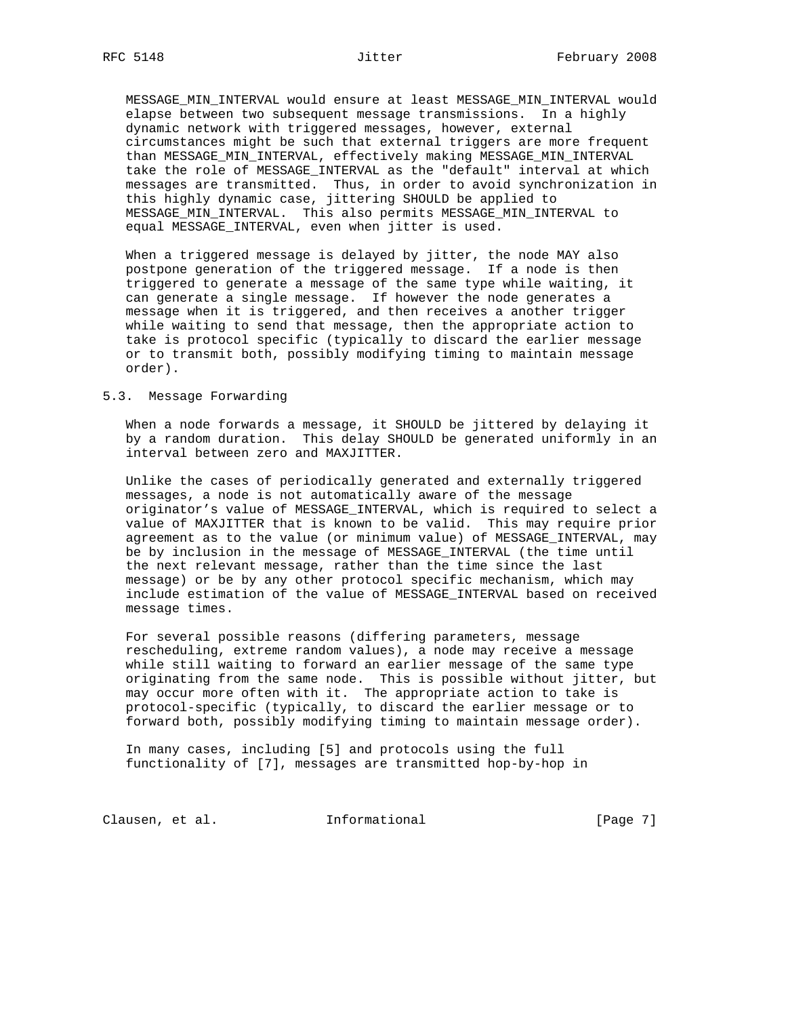MESSAGE\_MIN\_INTERVAL would ensure at least MESSAGE\_MIN\_INTERVAL would elapse between two subsequent message transmissions. In a highly dynamic network with triggered messages, however, external circumstances might be such that external triggers are more frequent than MESSAGE\_MIN\_INTERVAL, effectively making MESSAGE\_MIN\_INTERVAL take the role of MESSAGE\_INTERVAL as the "default" interval at which messages are transmitted. Thus, in order to avoid synchronization in this highly dynamic case, jittering SHOULD be applied to MESSAGE\_MIN\_INTERVAL. This also permits MESSAGE\_MIN\_INTERVAL to equal MESSAGE\_INTERVAL, even when jitter is used.

 When a triggered message is delayed by jitter, the node MAY also postpone generation of the triggered message. If a node is then triggered to generate a message of the same type while waiting, it can generate a single message. If however the node generates a message when it is triggered, and then receives a another trigger while waiting to send that message, then the appropriate action to take is protocol specific (typically to discard the earlier message or to transmit both, possibly modifying timing to maintain message order).

#### 5.3. Message Forwarding

 When a node forwards a message, it SHOULD be jittered by delaying it by a random duration. This delay SHOULD be generated uniformly in an interval between zero and MAXJITTER.

 Unlike the cases of periodically generated and externally triggered messages, a node is not automatically aware of the message originator's value of MESSAGE\_INTERVAL, which is required to select a value of MAXJITTER that is known to be valid. This may require prior agreement as to the value (or minimum value) of MESSAGE\_INTERVAL, may be by inclusion in the message of MESSAGE\_INTERVAL (the time until the next relevant message, rather than the time since the last message) or be by any other protocol specific mechanism, which may include estimation of the value of MESSAGE\_INTERVAL based on received message times.

 For several possible reasons (differing parameters, message rescheduling, extreme random values), a node may receive a message while still waiting to forward an earlier message of the same type originating from the same node. This is possible without jitter, but may occur more often with it. The appropriate action to take is protocol-specific (typically, to discard the earlier message or to forward both, possibly modifying timing to maintain message order).

 In many cases, including [5] and protocols using the full functionality of [7], messages are transmitted hop-by-hop in

Clausen, et al. 1nformational (Page 7)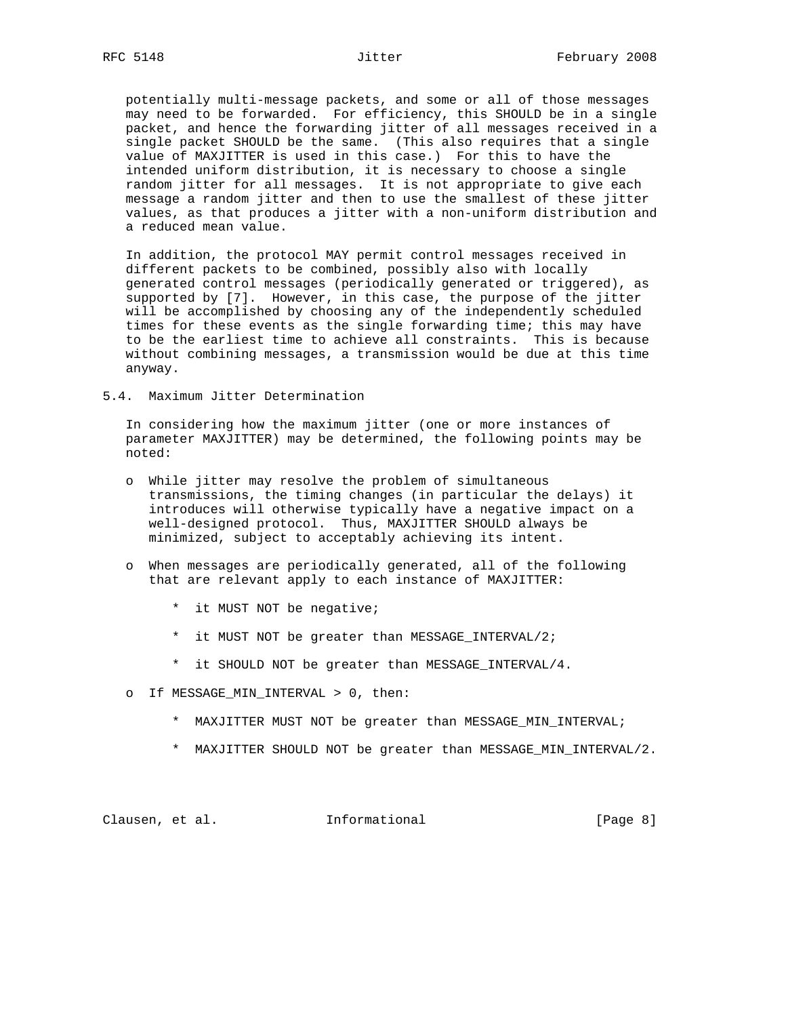potentially multi-message packets, and some or all of those messages may need to be forwarded. For efficiency, this SHOULD be in a single packet, and hence the forwarding jitter of all messages received in a single packet SHOULD be the same. (This also requires that a single value of MAXJITTER is used in this case.) For this to have the intended uniform distribution, it is necessary to choose a single random jitter for all messages. It is not appropriate to give each message a random jitter and then to use the smallest of these jitter values, as that produces a jitter with a non-uniform distribution and a reduced mean value.

 In addition, the protocol MAY permit control messages received in different packets to be combined, possibly also with locally generated control messages (periodically generated or triggered), as supported by [7]. However, in this case, the purpose of the jitter will be accomplished by choosing any of the independently scheduled times for these events as the single forwarding time; this may have to be the earliest time to achieve all constraints. This is because without combining messages, a transmission would be due at this time anyway.

5.4. Maximum Jitter Determination

 In considering how the maximum jitter (one or more instances of parameter MAXJITTER) may be determined, the following points may be noted:

- o While jitter may resolve the problem of simultaneous transmissions, the timing changes (in particular the delays) it introduces will otherwise typically have a negative impact on a well-designed protocol. Thus, MAXJITTER SHOULD always be minimized, subject to acceptably achieving its intent.
- o When messages are periodically generated, all of the following that are relevant apply to each instance of MAXJITTER:
	- \* it MUST NOT be negative;
	- \* it MUST NOT be greater than MESSAGE\_INTERVAL/2;
	- \* it SHOULD NOT be greater than MESSAGE\_INTERVAL/4.
- o If MESSAGE\_MIN\_INTERVAL > 0, then:
	- \* MAXJITTER MUST NOT be greater than MESSAGE\_MIN\_INTERVAL;
	- \* MAXJITTER SHOULD NOT be greater than MESSAGE\_MIN\_INTERVAL/2.

Clausen, et al. 1nformational (Page 8)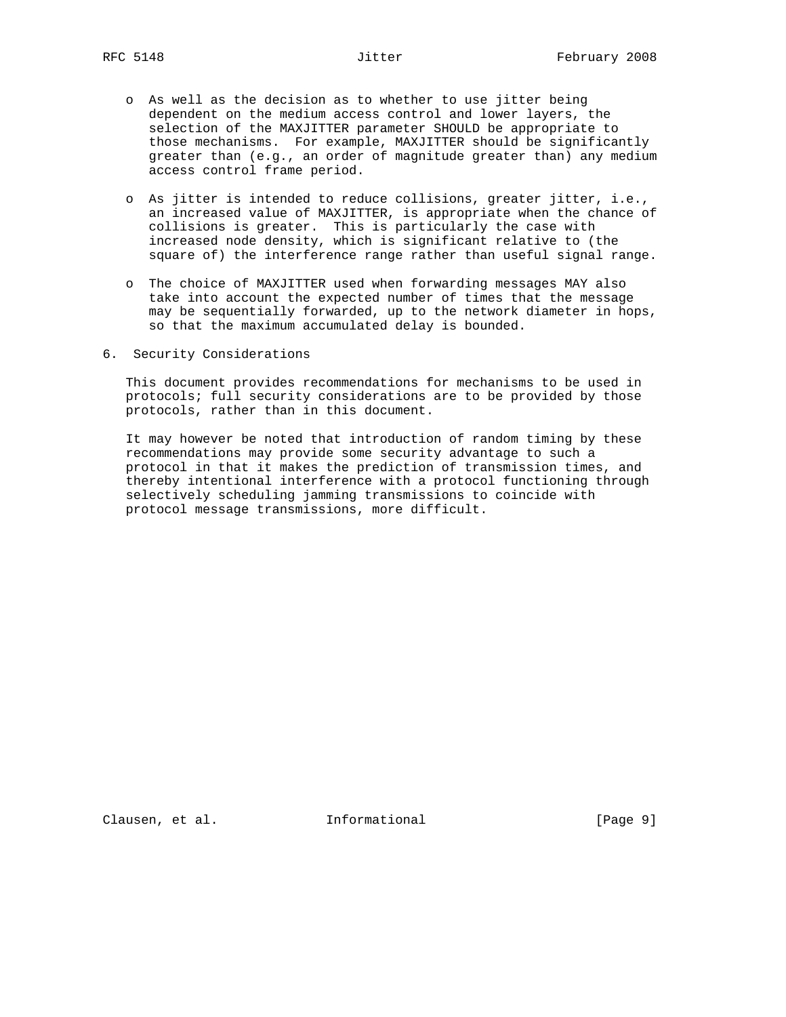- o As well as the decision as to whether to use jitter being dependent on the medium access control and lower layers, the selection of the MAXJITTER parameter SHOULD be appropriate to those mechanisms. For example, MAXJITTER should be significantly greater than (e.g., an order of magnitude greater than) any medium access control frame period.
- o As jitter is intended to reduce collisions, greater jitter, i.e., an increased value of MAXJITTER, is appropriate when the chance of collisions is greater. This is particularly the case with increased node density, which is significant relative to (the square of) the interference range rather than useful signal range.
- o The choice of MAXJITTER used when forwarding messages MAY also take into account the expected number of times that the message may be sequentially forwarded, up to the network diameter in hops, so that the maximum accumulated delay is bounded.
- 6. Security Considerations

 This document provides recommendations for mechanisms to be used in protocols; full security considerations are to be provided by those protocols, rather than in this document.

 It may however be noted that introduction of random timing by these recommendations may provide some security advantage to such a protocol in that it makes the prediction of transmission times, and thereby intentional interference with a protocol functioning through selectively scheduling jamming transmissions to coincide with protocol message transmissions, more difficult.

Clausen, et al. **Informational** [Page 9]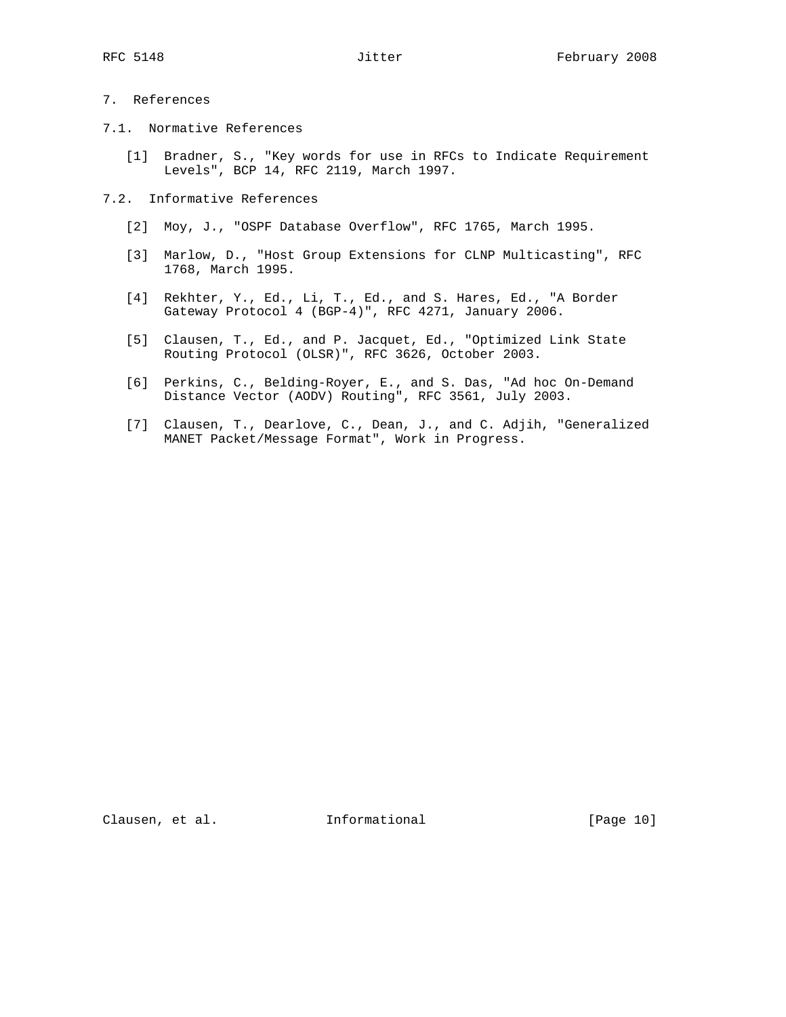- 7. References
- 7.1. Normative References
	- [1] Bradner, S., "Key words for use in RFCs to Indicate Requirement Levels", BCP 14, RFC 2119, March 1997.
- 7.2. Informative References
	- [2] Moy, J., "OSPF Database Overflow", RFC 1765, March 1995.
	- [3] Marlow, D., "Host Group Extensions for CLNP Multicasting", RFC 1768, March 1995.
	- [4] Rekhter, Y., Ed., Li, T., Ed., and S. Hares, Ed., "A Border Gateway Protocol 4 (BGP-4)", RFC 4271, January 2006.
	- [5] Clausen, T., Ed., and P. Jacquet, Ed., "Optimized Link State Routing Protocol (OLSR)", RFC 3626, October 2003.
	- [6] Perkins, C., Belding-Royer, E., and S. Das, "Ad hoc On-Demand Distance Vector (AODV) Routing", RFC 3561, July 2003.
	- [7] Clausen, T., Dearlove, C., Dean, J., and C. Adjih, "Generalized MANET Packet/Message Format", Work in Progress.

Clausen, et al. 1nformational [Page 10]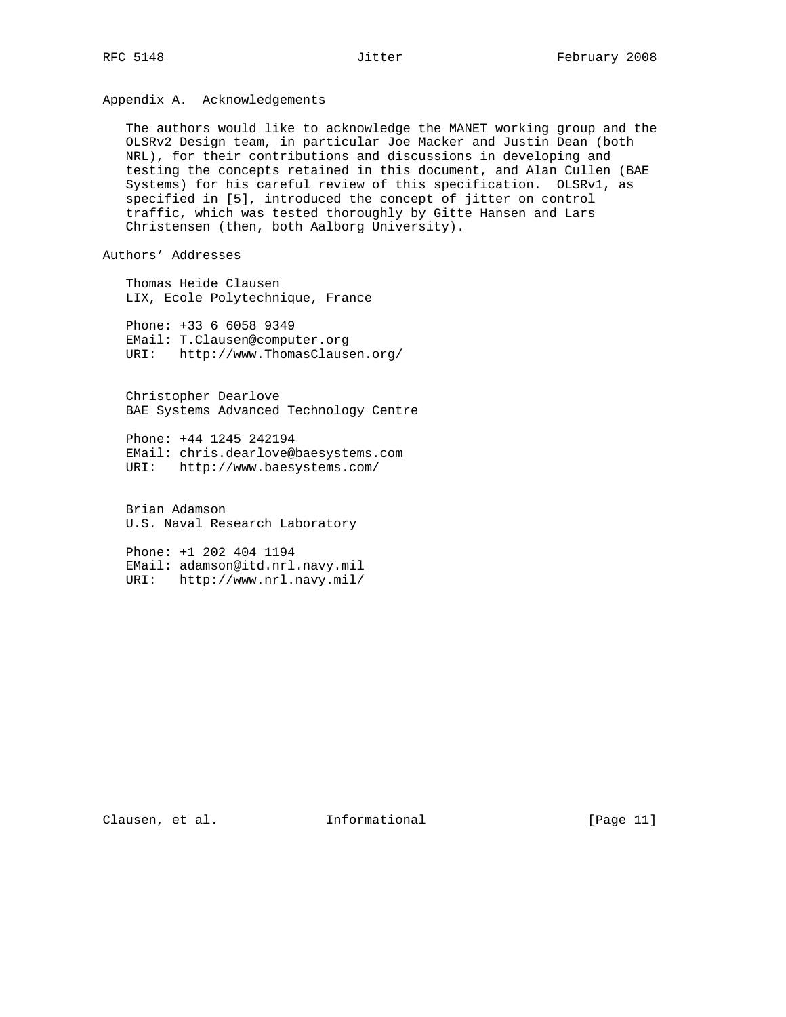# Appendix A. Acknowledgements

 The authors would like to acknowledge the MANET working group and the OLSRv2 Design team, in particular Joe Macker and Justin Dean (both NRL), for their contributions and discussions in developing and testing the concepts retained in this document, and Alan Cullen (BAE Systems) for his careful review of this specification. OLSRv1, as specified in [5], introduced the concept of jitter on control traffic, which was tested thoroughly by Gitte Hansen and Lars Christensen (then, both Aalborg University).

## Authors' Addresses

 Thomas Heide Clausen LIX, Ecole Polytechnique, France

 Phone: +33 6 6058 9349 EMail: T.Clausen@computer.org URI: http://www.ThomasClausen.org/

 Christopher Dearlove BAE Systems Advanced Technology Centre

 Phone: +44 1245 242194 EMail: chris.dearlove@baesystems.com URI: http://www.baesystems.com/

 Brian Adamson U.S. Naval Research Laboratory

 Phone: +1 202 404 1194 EMail: adamson@itd.nrl.navy.mil URI: http://www.nrl.navy.mil/

Clausen, et al. Informational [Page 11]